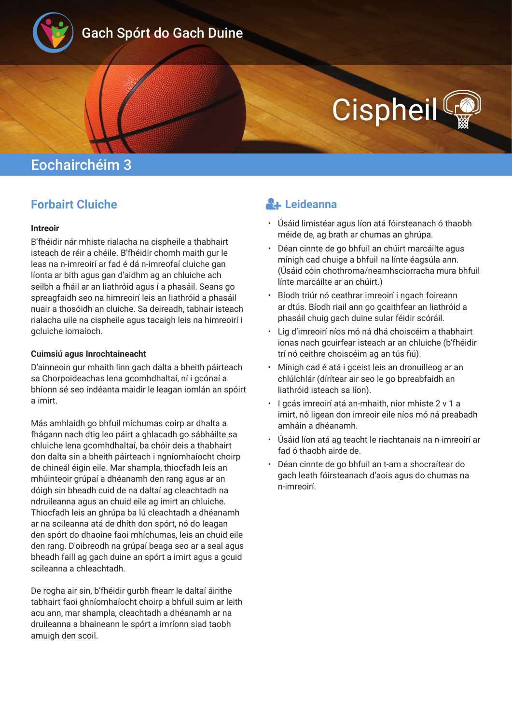

## Gach Spórt do Gach Duine

# **Cispheil**

## Eochairchéim 3

#### **Forbairt Cluiche**

#### **Intreoir**

B'fhéidir nár mhiste rialacha na cispheile a thabhairt isteach de réir a chéile. B'fhéidir chomh maith gur le leas na n-imreoirí ar fad é dá n-imreofaí cluiche gan líonta ar bith agus gan d'aidhm ag an chluiche ach seilbh a fháil ar an liathróid agus í a phasáil. Seans go spreagfaidh seo na himreoirí leis an liathróid a phasáil nuair a thosóidh an cluiche. Sa deireadh, tabhair isteach rialacha uile na cispheile agus tacaigh leis na himreoirí i gcluiche iomaíoch.

#### **Cuimsiú agus Inrochtaineacht**

D'ainneoin gur mhaith linn gach dalta a bheith páirteach sa Chorpoideachas lena gcomhdhaltaí, ní i gcónaí a bhíonn sé seo indéanta maidir le leagan iomlán an spóirt a imirt.

Más amhlaidh go bhfuil míchumas coirp ar dhalta a fhágann nach dtig leo páirt a ghlacadh go sábháilte sa chluiche lena gcomhdhaltaí, ba chóir deis a thabhairt don dalta sin a bheith páirteach i ngníomhaíocht choirp de chineál éigin eile. Mar shampla, thiocfadh leis an mhúinteoir grúpaí a dhéanamh den rang agus ar an dóigh sin bheadh cuid de na daltaí ag cleachtadh na ndruileanna agus an chuid eile ag imirt an chluiche. Thiocfadh leis an ghrúpa ba lú cleachtadh a dhéanamh ar na scileanna atá de dhíth don spórt, nó do leagan den spórt do dhaoine faoi mhíchumas, leis an chuid eile den rang. D'oibreodh na grúpaí beaga seo ar a seal agus bheadh faill ag gach duine an spórt a imirt agus a gcuid scileanna a chleachtadh.

De rogha air sin, b'fhéidir gurbh fhearr le daltaí áirithe tabhairt faoi ghníomhaíocht choirp a bhfuil suim ar leith acu ann, mar shampla, cleachtadh a dhéanamh ar na druileanna a bhaineann le spórt a imríonn siad taobh amuigh den scoil.

#### **Leideanna**

- Úsáid limistéar agus líon atá fóirsteanach ó thaobh méide de, ag brath ar chumas an ghrúpa.
- Déan cinnte de go bhfuil an chúirt marcáilte agus mínigh cad chuige a bhfuil na línte éagsúla ann. (Úsáid cóin chothroma/neamhsciorracha mura bhfuil línte marcáilte ar an chúirt.)
- Bíodh triúr nó ceathrar imreoirí i ngach foireann ar dtús. Bíodh riail ann go gcaithfear an liathróid a phasáil chuig gach duine sular féidir scóráil.
- Lig d'imreoirí níos mó ná dhá choiscéim a thabhairt ionas nach gcuirfear isteach ar an chluiche (b'fhéidir trí nó ceithre choiscéim ag an tús fiú).
- Mínigh cad é atá i gceist leis an dronuilleog ar an chlúlchlár (dírítear air seo le go bpreabfaidh an liathróid isteach sa líon).
- I gcás imreoirí atá an-mhaith, níor mhiste 2 v 1 a imirt, nó ligean don imreoir eile níos mó ná preabadh amháin a dhéanamh.
- Úsáid líon atá ag teacht le riachtanais na n-imreoirí ar fad ó thaobh airde de.
- Déan cinnte de go bhfuil an t-am a shocraítear do gach leath fóirsteanach d'aois agus do chumas na n-imreoirí.